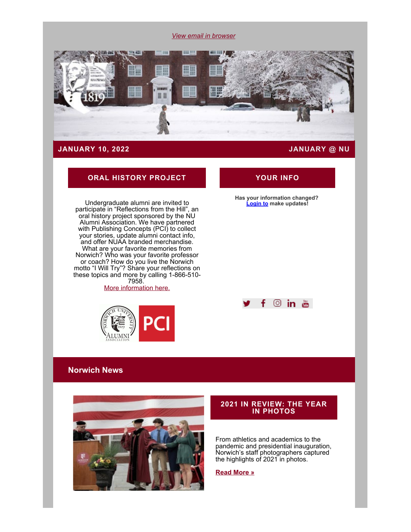#### *[View email in browser](#page-0-0)*

<span id="page-0-0"></span>

# **JANUARY 10, 2022 JANUARY @ NU**

## **ORAL HISTORY PROJECT YOUR INFO**

Undergraduate alumni are invited to participate in "Reflections from the Hill", an oral history project sponsored by the NU Alumni Association. We have partnered with Publishing Concepts (PCI) to collect your stories, update alumni contact info, and offer NUAA branded merchandise. What are your favorite memories from Norwich? Who was your favorite professor or coach? How do you live the Norwich motto "I Will Try"? Share your reflections on these topics and more by calling 1-866-510- 7958.

[More information here.](https://alumni.norwich.edu/OralHistory?srctid=1&erid=22201487&trid=91ebd0e9-1d3c-411a-905e-4dc96358dbb3)



# **Norwich News**



## **2021 IN REVIEW: THE YEAR IN PHOTOS**

**Has your information changed? [Login to](https://alumni.norwich.edu/MyInfo?srctid=1&erid=22201487&trid=91ebd0e9-1d3c-411a-905e-4dc96358dbb3) make updates!**

f © in <sub>o</sub>™

From athletics and academics to the pandemic and presidential inauguration, Norwich's staff photographers captured the highlights of 2021 in photos.

**[Read More »](https://alumni.norwich.edu/page.redir?target=https%3a%2f%2fwww.norwich.edu%2fnews%2f3546-nowich-university-2021-in-review-the-year-in-photos&srcid=154636&srctid=1&erid=22201487&trid=91ebd0e9-1d3c-411a-905e-4dc96358dbb3)**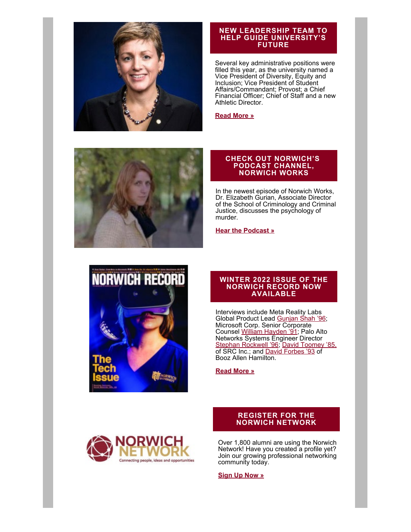

#### **NEW LEADERSHIP TEAM TO HELP GUIDE UNIVERSITY'S FUTURE**

Several key administrative positions were filled this year, as the university named a Vice President of Diversity, Equity and Inclusion; Vice President of Student Affairs/Commandant; Provost; a Chief Financial Officer; Chief of Staff and a new Athletic Director.

#### **[Read More »](https://alumni.norwich.edu/page.redir?target=https%3a%2f%2fwww.norwich.edu%2fnews%2f3542-norwich-university-2021-in-review-new-admistrators-hired-to-guide-university-forward&srcid=154636&srctid=1&erid=22201487&trid=91ebd0e9-1d3c-411a-905e-4dc96358dbb3)**



#### **CHECK OUT NORWICH'S PODCAST CHANNEL, NORWICH WORKS**

In the newest episode of Norwich Works, Dr. Elizabeth Gurian, Associate Director of the School of Criminology and Criminal Justice, discusses the psychology of murder.

**[Hear the Podcast »](https://alumni.norwich.edu/page.redir?target=https%3a%2f%2fnorwich.podbean.com%2fe%2fnorwich-works-murder-101%2f&srcid=154636&srctid=1&erid=22201487&trid=91ebd0e9-1d3c-411a-905e-4dc96358dbb3)**



## **WINTER 2022 ISSUE OF THE NORWICH RECORD NOW AVAILABLE**

Interviews include Meta Reality Labs Global Product Lead [Gunjan Shah '96](https://alumni.norwich.edu/page.redir?target=https%3a%2f%2fwww.norwich.edu%2frecord%2f3496-star-techs-connecting-humanity&srcid=154636&srctid=1&erid=22201487&trid=91ebd0e9-1d3c-411a-905e-4dc96358dbb3); Microsoft Corp. Senior Corporate Counsel [William Hayden '91](https://alumni.norwich.edu/page.redir?target=https%3a%2f%2fwww.norwich.edu%2frecord%2f3498-star-techs-nation-state-cyber-war&srcid=154636&srctid=1&erid=22201487&trid=91ebd0e9-1d3c-411a-905e-4dc96358dbb3); Palo Alto Networks Systems Engineer Director [Stephan Rockwell '96](https://alumni.norwich.edu/page.redir?target=https%3a%2f%2fwww.norwich.edu%2frecord%2f3497-star-techs-cloud-and-machine-learning&srcid=154636&srctid=1&erid=22201487&trid=91ebd0e9-1d3c-411a-905e-4dc96358dbb3); [David Toomey '85,](https://alumni.norwich.edu/page.redir?target=https%3a%2f%2fwww.norwich.edu%2frecord%2f3500-star-techs-edge-computing-neuromorphics-quantum&srcid=154636&srctid=1&erid=22201487&trid=91ebd0e9-1d3c-411a-905e-4dc96358dbb3) of SRC Inc.; and <u>David Forbes '93</u> of Booz Allen Hamilton.

**[Read More »](https://alumni.norwich.edu/page.redir?target=https%3a%2f%2fwww.norwich.edu%2frecord&srcid=154636&srctid=1&erid=22201487&trid=91ebd0e9-1d3c-411a-905e-4dc96358dbb3)**



## **REGISTER FOR THE NORWICH NETWORK**

Over 1,800 alumni are using the Norwich Network! Have you created a profile yet? Join our growing professional networking community today.

**[Sign Up Now »](https://alumni.norwich.edu/page.redir?target=https%3a%2f%2fnetworking.norwich.edu%2f&srcid=154636&srctid=1&erid=22201487&trid=91ebd0e9-1d3c-411a-905e-4dc96358dbb3)**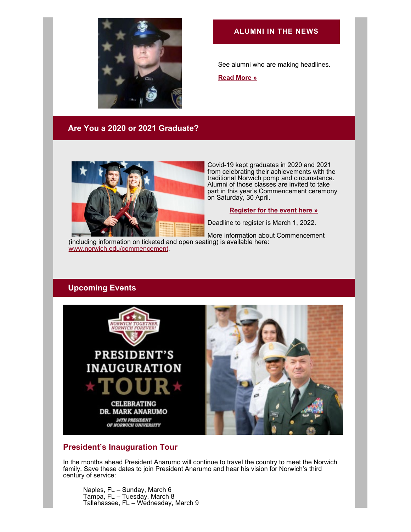

# **ALUMNI IN THE NEWS**

See alumni who are making headlines.

**[Read More »](https://alumni.norwich.edu/AlumniNews?srctid=1&erid=22201487&trid=91ebd0e9-1d3c-411a-905e-4dc96358dbb3)**

# **Are You a 2020 or 2021 Graduate?**



Covid-19 kept graduates in 2020 and 2021 from celebrating their achievements with the traditional Norwich pomp and circumstance. Alumni of those classes are invited to take part in this year's Commencement ceremony on Saturday, 30 April.

## **[Register for the event here](https://alumni.norwich.edu/events/attendedcommencementregistration?srctid=1&erid=22201487&trid=91ebd0e9-1d3c-411a-905e-4dc96358dbb3) »**

Deadline to register is March 1, 2022.

More information about Commencement (including information on ticketed and open seating) is available here: [www.norwich.edu/commencement](https://alumni.norwich.edu/page.redir?target=https%3a%2f%2fwww.norwich.edu%2fcommencement&srcid=154636&srctid=1&erid=22201487&trid=91ebd0e9-1d3c-411a-905e-4dc96358dbb3).

# **Upcoming Events**



# **President's Inauguration Tour**

In the months ahead President Anarumo will continue to travel the country to meet the Norwich family. Save these dates to join President Anarumo and hear his vision for Norwich's third century of service:

Naples, FL – Sunday, March 6 Tampa, FL – Tuesday, March 8 Tallahassee, FL – Wednesday, March 9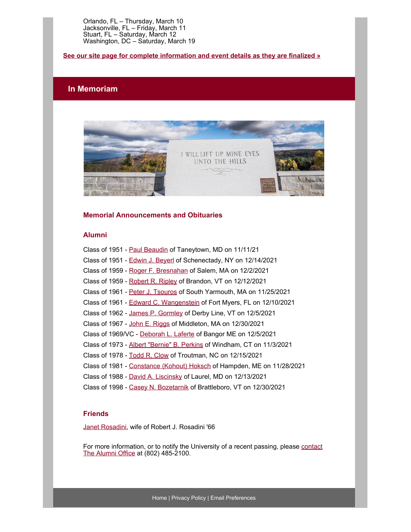Orlando, FL – Thursday, March 10 Jacksonville, FL – Friday, March 11 Stuart, FL – Saturday, March 12 Washington, DC – Saturday, March 19

**[See our site page for complete information and event details as they are finalized »](https://alumni.norwich.edu/inaugurationtour?srctid=1&erid=22201487&trid=91ebd0e9-1d3c-411a-905e-4dc96358dbb3)**

# **In Memoriam**



#### **Memorial Announcements and Obituaries**

## **Alumni**

Class of 1951 - [Paul Beaudin](https://alumni.norwich.edu/page.redir?target=https%3a%2f%2fwww.legacy.com%2fus%2fobituaries%2fcarrollcountytimes%2fname%2fpaul-beaudin-obituary%3fid%3d31561834&srcid=154636&srctid=1&erid=22201487&trid=91ebd0e9-1d3c-411a-905e-4dc96358dbb3) of Taneytown, MD on 11/11/21 Class of 1951 - [Edwin J. Beyerl](https://alumni.norwich.edu/page.redir?target=https%3a%2f%2fdalyfuneralhome.com%2ftribute%2fdetails%2f1814%2fEdwin-Beyerl%2fobituary.html%23tribute-start&srcid=154636&srctid=1&erid=22201487&trid=91ebd0e9-1d3c-411a-905e-4dc96358dbb3) of Schenectady, NY on 12/14/2021 Class of 1959 - [Roger F. Bresnahan](https://alumni.norwich.edu/page.redir?target=https%3a%2f%2fwww.legacy.com%2famp%2fobituaries%2fbatesville%2f200835110&srcid=154636&srctid=1&erid=22201487&trid=91ebd0e9-1d3c-411a-905e-4dc96358dbb3) of Salem, MA on 12/2/2021 Class of 1959 - [Robert R. Ripley](https://alumni.norwich.edu/page.redir?target=https%3a%2f%2fwww.rutlandherald.com%2fobituaries%2frobert-r-ripley%2farticle_b82b73e7-3f7b-56c2-8df3-58bba3192c50.html&srcid=154636&srctid=1&erid=22201487&trid=91ebd0e9-1d3c-411a-905e-4dc96358dbb3) of Brandon, VT on 12/12/2021 Class of 1961 - [Peter J. Tsouros](https://alumni.norwich.edu/page.redir?target=https%3a%2f%2fwww.telegram.com%2fobituaries%2fwt0077999&srcid=154636&srctid=1&erid=22201487&trid=91ebd0e9-1d3c-411a-905e-4dc96358dbb3) of South Yarmouth, MA on 11/25/2021 Class of 1961 - [Edward C. Wangenstein](https://alumni.norwich.edu/page.redir?target=https%3a%2f%2fwww.harvey-engelhardt.com%2ftributes%2fEdward-Wangenstein&srcid=154636&srctid=1&erid=22201487&trid=91ebd0e9-1d3c-411a-905e-4dc96358dbb3) of Fort Myers, FL on 12/10/2021 Class of 1962 - [James P. Gormley](https://alumni.norwich.edu/page.redir?target=https%3a%2f%2fwww.legacy.com%2fus%2fobituaries%2fbostonherald%2fname%2fjames-gormley-obituary%3fid%3d31777331&srcid=154636&srctid=1&erid=22201487&trid=91ebd0e9-1d3c-411a-905e-4dc96358dbb3) of Derby Line, VT on 12/5/2021 Class of 1967 - [John E. Riggs](https://alumni.norwich.edu/page.redir?target=https%3a%2f%2fobituaries.salemnews.com%2fobituary%2fjohn-riggs-iii-1084118245&srcid=154636&srctid=1&erid=22201487&trid=91ebd0e9-1d3c-411a-905e-4dc96358dbb3) of Middleton, MA on 12/30/2021 Class of 1969/VC - [Deborah L. Laferte](https://alumni.norwich.edu/page.redir?target=https%3a%2f%2fobituaries.bangordailynews.com%2fobituary%2fdeborah-laferte-1083971715&srcid=154636&srctid=1&erid=22201487&trid=91ebd0e9-1d3c-411a-905e-4dc96358dbb3) of Bangor ME on 12/5/2021 Class of 1973 - [Albert "Bernie" B. Perkins](https://alumni.norwich.edu/page.redir?target=https%3a%2f%2fwww.legacy.com%2fus%2fobituaries%2ftheday%2fname%2falbert-perkins-obituary%3fid%3d31974793&srcid=154636&srctid=1&erid=22201487&trid=91ebd0e9-1d3c-411a-905e-4dc96358dbb3) of Windham, CT on 11/3/2021 Class of 1978 - [Todd R. Clow](https://alumni.norwich.edu/page.redir?target=https%3a%2f%2fwww.pressherald.com%2f2021%2f12%2f22%2fobituarytodd-richard-clow-do%2f%3ffbclid%3dIwAR0MjbsMmPDZo72a5xaxXNKRuLOgqX_UarJ2lp7pfkiE0B-dOdGGkvoVJbQ&srcid=154636&srctid=1&erid=22201487&trid=91ebd0e9-1d3c-411a-905e-4dc96358dbb3) of Troutman, NC on 12/15/2021 Class of 1981 - [Constance \(Kohout\) Hoksch](https://alumni.norwich.edu/page.redir?target=https%3a%2f%2fwww.currentobituary.com%2fmember%2fobit%2f260824&srcid=154636&srctid=1&erid=22201487&trid=91ebd0e9-1d3c-411a-905e-4dc96358dbb3) of Hampden, ME on 11/28/2021 Class of 1988 - [David A. Liscinsky](https://alumni.norwich.edu/page.redir?target=https%3a%2f%2fwww.burlingtonfreepress.com%2fobituaries%2fbfp036809&srcid=154636&srctid=1&erid=22201487&trid=91ebd0e9-1d3c-411a-905e-4dc96358dbb3) of Laurel, MD on 12/13/2021 Class of 1998 - [Casey N. Bozetarnik](https://alumni.norwich.edu/page.redir?target=https%3a%2f%2fwww.legacy.com%2fus%2fobituaries%2fbrattleboro%2fname%2fcasey-bozetarnik-obituary%3fid%3d32117295&srcid=154636&srctid=1&erid=22201487&trid=91ebd0e9-1d3c-411a-905e-4dc96358dbb3) of Brattleboro, VT on 12/30/2021

# **Friends**

[Janet Rosadini](https://alumni.norwich.edu/page.redir?target=https%3a%2f%2fwww.philbincomeaufh.com%2fmemorials%2fjanet-rosadini%2f4790706%2fobituary.php&srcid=154636&srctid=1&erid=22201487&trid=91ebd0e9-1d3c-411a-905e-4dc96358dbb3), wife of Robert J. Rosadini '66

For more information, or to notify the University of a recent passing, please [contact](mailto:alumni@norwich.edu) [The Alumni Office](mailto:alumni@norwich.edu) at (802) 485-2100.